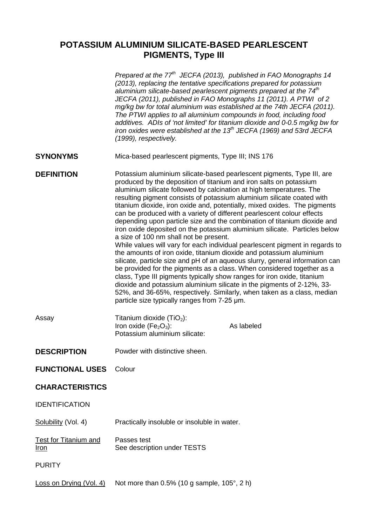## **POTASSIUM ALUMINIUM SILICATE-BASED PEARLESCENT PIGMENTS, Type III**

|                                             | Prepared at the 77 <sup>th</sup> JECFA (2013), published in FAO Monographs 14<br>(2013), replacing the tentative specifications prepared for potassium<br>aluminium silicate-based pearlescent pigments prepared at the 74 <sup>th</sup><br>JECFA (2011), published in FAO Monographs 11 (2011). A PTWI of 2<br>mg/kg bw for total aluminium was established at the 74th JECFA (2011).<br>The PTWI applies to all aluminium compounds in food, including food<br>additives. ADIs of 'not limited' for titanium dioxide and 0-0.5 mg/kg bw for<br>iron oxides were established at the 13 <sup>th</sup> JECFA (1969) and 53rd JECFA<br>(1999), respectively.                                                                                                                                                                                                                                                                                                                                                                                                                                                                                                                                                                                                |  |  |
|---------------------------------------------|-----------------------------------------------------------------------------------------------------------------------------------------------------------------------------------------------------------------------------------------------------------------------------------------------------------------------------------------------------------------------------------------------------------------------------------------------------------------------------------------------------------------------------------------------------------------------------------------------------------------------------------------------------------------------------------------------------------------------------------------------------------------------------------------------------------------------------------------------------------------------------------------------------------------------------------------------------------------------------------------------------------------------------------------------------------------------------------------------------------------------------------------------------------------------------------------------------------------------------------------------------------|--|--|
| <b>SYNONYMS</b>                             | Mica-based pearlescent pigments, Type III; INS 176                                                                                                                                                                                                                                                                                                                                                                                                                                                                                                                                                                                                                                                                                                                                                                                                                                                                                                                                                                                                                                                                                                                                                                                                        |  |  |
| <b>DEFINITION</b>                           | Potassium aluminium silicate-based pearlescent pigments, Type III, are<br>produced by the deposition of titanium and iron salts on potassium<br>aluminium silicate followed by calcination at high temperatures. The<br>resulting pigment consists of potassium aluminium silicate coated with<br>titanium dioxide, iron oxide and, potentially, mixed oxides. The pigments<br>can be produced with a variety of different pearlescent colour effects<br>depending upon particle size and the combination of titanium dioxide and<br>iron oxide deposited on the potassium aluminium silicate. Particles below<br>a size of 100 nm shall not be present.<br>While values will vary for each individual pearlescent pigment in regards to<br>the amounts of iron oxide, titanium dioxide and potassium aluminium<br>silicate, particle size and pH of an aqueous slurry, general information can<br>be provided for the pigments as a class. When considered together as a<br>class, Type III pigments typically show ranges for iron oxide, titanium<br>dioxide and potassium aluminium silicate in the pigments of 2-12%, 33-<br>52%, and 36-65%, respectively. Similarly, when taken as a class, median<br>particle size typically ranges from 7-25 um. |  |  |
| Assay                                       | Titanium dioxide $(TiO2)$ :<br>Iron oxide ( $Fe2O3$ ):<br>As labeled<br>Potassium aluminium silicate:                                                                                                                                                                                                                                                                                                                                                                                                                                                                                                                                                                                                                                                                                                                                                                                                                                                                                                                                                                                                                                                                                                                                                     |  |  |
| <b>DESCRIPTION</b>                          | Powder with distinctive sheen                                                                                                                                                                                                                                                                                                                                                                                                                                                                                                                                                                                                                                                                                                                                                                                                                                                                                                                                                                                                                                                                                                                                                                                                                             |  |  |
| <b>FUNCTIONAL USES</b>                      | Colour                                                                                                                                                                                                                                                                                                                                                                                                                                                                                                                                                                                                                                                                                                                                                                                                                                                                                                                                                                                                                                                                                                                                                                                                                                                    |  |  |
| <b>CHARACTERISTICS</b>                      |                                                                                                                                                                                                                                                                                                                                                                                                                                                                                                                                                                                                                                                                                                                                                                                                                                                                                                                                                                                                                                                                                                                                                                                                                                                           |  |  |
| <b>IDENTIFICATION</b>                       |                                                                                                                                                                                                                                                                                                                                                                                                                                                                                                                                                                                                                                                                                                                                                                                                                                                                                                                                                                                                                                                                                                                                                                                                                                                           |  |  |
| Solubility (Vol. 4)                         | Practically insoluble or insoluble in water.                                                                                                                                                                                                                                                                                                                                                                                                                                                                                                                                                                                                                                                                                                                                                                                                                                                                                                                                                                                                                                                                                                                                                                                                              |  |  |
| <b>Test for Titanium and</b><br><u>Iron</u> | Passes test<br>See description under TESTS                                                                                                                                                                                                                                                                                                                                                                                                                                                                                                                                                                                                                                                                                                                                                                                                                                                                                                                                                                                                                                                                                                                                                                                                                |  |  |
| <b>PURITY</b>                               |                                                                                                                                                                                                                                                                                                                                                                                                                                                                                                                                                                                                                                                                                                                                                                                                                                                                                                                                                                                                                                                                                                                                                                                                                                                           |  |  |
| Loss on Drying (Vol. 4)                     | Not more than $0.5\%$ (10 g sample, 105 $^{\circ}$ , 2 h)                                                                                                                                                                                                                                                                                                                                                                                                                                                                                                                                                                                                                                                                                                                                                                                                                                                                                                                                                                                                                                                                                                                                                                                                 |  |  |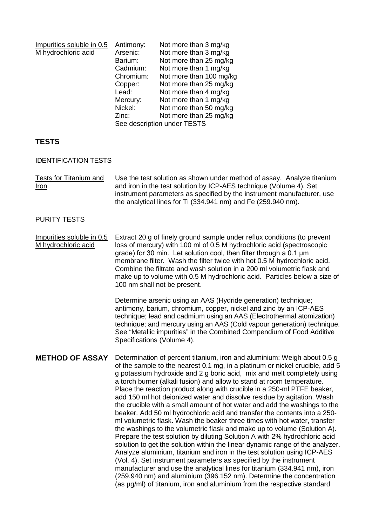| Impurities soluble in 0.5 | Antimony:                   | Not more than 3 mg/kg   |  |
|---------------------------|-----------------------------|-------------------------|--|
| M hydrochloric acid       | Arsenic:                    | Not more than 3 mg/kg   |  |
|                           | Barium:                     | Not more than 25 mg/kg  |  |
|                           | Cadmium:                    | Not more than 1 mg/kg   |  |
|                           | Chromium:                   | Not more than 100 mg/kg |  |
|                           | Copper:                     | Not more than 25 mg/kg  |  |
|                           | Lead:                       | Not more than 4 mg/kg   |  |
|                           | Mercury:                    | Not more than 1 mg/kg   |  |
|                           | Nickel:                     | Not more than 50 mg/kg  |  |
|                           | Zinc:                       | Not more than 25 mg/kg  |  |
|                           | See description under TESTS |                         |  |

## **TESTS**

IDENTIFICATION TESTS

Tests for Titanium and Iron Use the test solution as shown under method of assay. Analyze titanium and iron in the test solution by ICP-AES technique (Volume 4). Set instrument parameters as specified by the instrument manufacturer, use the analytical lines for Ti (334.941 nm) and Fe (259.940 nm).

## PURITY TESTS

Impurities soluble in 0.5 M hydrochloric acid Extract 20 g of finely ground sample under reflux conditions (to prevent loss of mercury) with 100 ml of 0.5 M hydrochloric acid (spectroscopic grade) for 30 min. Let solution cool, then filter through a 0.1 μm membrane filter. Wash the filter twice with hot 0.5 M hydrochloric acid. Combine the filtrate and wash solution in a 200 ml volumetric flask and make up to volume with 0.5 M hydrochloric acid. Particles below a size of 100 nm shall not be present.

> Determine arsenic using an AAS (Hydride generation) technique; antimony, barium, chromium, copper, nickel and zinc by an ICP-AES technique; lead and cadmium using an AAS (Electrothermal atomization) technique; and mercury using an AAS (Cold vapour generation) technique. See "Metallic impurities" in the Combined Compendium of Food Additive Specifications (Volume 4).

**METHOD OF ASSAY** Determination of percent titanium, iron and aluminium: Weigh about 0.5 g of the sample to the nearest 0.1 mg, in a platinum or nickel crucible, add 5 g potassium hydroxide and 2 g boric acid, mix and melt completely using a torch burner (alkali fusion) and allow to stand at room temperature. Place the reaction product along with crucible in a 250-ml PTFE beaker, add 150 ml hot deionized water and dissolve residue by agitation. Wash the crucible with a small amount of hot water and add the washings to the beaker. Add 50 ml hydrochloric acid and transfer the contents into a 250 ml volumetric flask. Wash the beaker three times with hot water, transfer the washings to the volumetric flask and make up to volume (Solution A). Prepare the test solution by diluting Solution A with 2% hydrochloric acid solution to get the solution within the linear dynamic range of the analyzer. Analyze aluminium, titanium and iron in the test solution using ICP-AES (Vol. 4). Set instrument parameters as specified by the instrument manufacturer and use the analytical lines for titanium (334.941 nm), iron (259.940 nm) and aluminium (396.152 nm). Determine the concentration (as µg/ml) of titanium, iron and aluminium from the respective standard